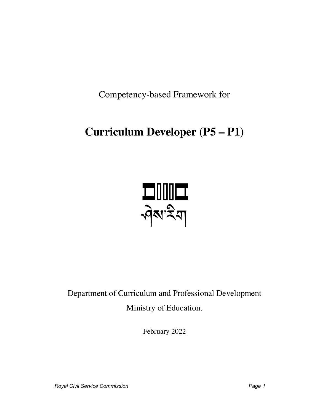Competency-based Framework for

# **Curriculum Developer (P5 – P1)**



Department of Curriculum and Professional Development Ministry of Education.

February 2022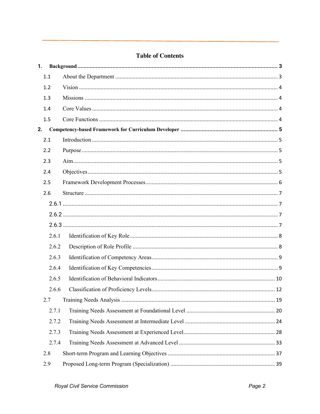# **Table of Contents**

| 1. |       |  |
|----|-------|--|
|    | 1.1   |  |
|    | 1.2   |  |
|    | 1.3   |  |
|    | 1.4   |  |
|    | 1.5   |  |
| 2. |       |  |
|    | 2.1   |  |
|    | 2.2   |  |
|    | 2.3   |  |
|    | 2.4   |  |
|    | 2.5   |  |
|    | 2.6   |  |
|    |       |  |
|    |       |  |
|    |       |  |
|    | 2.6.1 |  |
|    | 2.6.2 |  |
|    | 2.6.3 |  |
|    | 2.6.4 |  |
|    | 2.6.5 |  |
|    | 2.6.6 |  |
|    | 2.7   |  |
|    | 2.7.1 |  |
|    | 2.7.2 |  |
|    | 2.7.3 |  |
|    | 2.7.4 |  |
|    | 2.8   |  |
|    | 2.9   |  |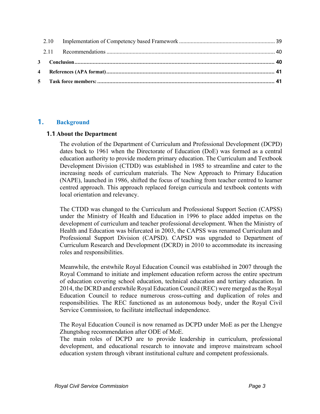# **1. Background**

#### **1.1 About the Department**

The evolution of the Department of Curriculum and Professional Development (DCPD) dates back to 1961 when the Directorate of Education (DoE) was formed as a central education authority to provide modern primary education. The Curriculum and Textbook Development Division (CTDD) was established in 1985 to streamline and cater to the increasing needs of curriculum materials. The New Approach to Primary Education (NAPE), launched in 1986, shifted the focus of teaching from teacher centred to learner centred approach. This approach replaced foreign curricula and textbook contents with local orientation and relevancy.

The CTDD was changed to the Curriculum and Professional Support Section (CAPSS) under the Ministry of Health and Education in 1996 to place added impetus on the development of curriculum and teacher professional development. When the Ministry of Health and Education was bifurcated in 2003, the CAPSS was renamed Curriculum and Professional Support Division (CAPSD). CAPSD was upgraded to Department of Curriculum Research and Development (DCRD) in 2010 to accommodate its increasing roles and responsibilities.

Meanwhile, the erstwhile Royal Education Council was established in 2007 through the Royal Command to initiate and implement education reform across the entire spectrum of education covering school education, technical education and tertiary education. In 2014, the DCRD and erstwhile Royal Education Council (REC) were merged as the Royal Education Council to reduce numerous cross-cutting and duplication of roles and responsibilities. The REC functioned as an autonomous body, under the Royal Civil Service Commission, to facilitate intellectual independence.

The Royal Education Council is now renamed as DCPD under MoE as per the Lhengye Zhungtshog recommendation after ODE of MoE.

The main roles of DCPD are to provide leadership in curriculum, professional development, and educational research to innovate and improve mainstream school education system through vibrant institutional culture and competent professionals.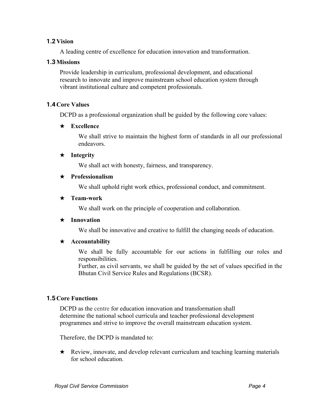#### **1.2 Vision**

A leading centre of excellence for education innovation and transformation.

#### **1.3Missions**

Provide leadership in curriculum, professional development, and educational research to innovate and improve mainstream school education system through vibrant institutional culture and competent professionals.

#### **1.4 Core Values**

DCPD as a professional organization shall be guided by the following core values:

#### ★ **Excellence**

We shall strive to maintain the highest form of standards in all our professional endeavors.

#### ★ **Integrity**

We shall act with honesty, fairness, and transparency.

#### ★ **Professionalism**

We shall uphold right work ethics, professional conduct, and commitment.

#### ★ **Team-work**

We shall work on the principle of cooperation and collaboration.

#### ★ **Innovation**

We shall be innovative and creative to fulfill the changing needs of education.

#### ★ **Accountability**

We shall be fully accountable for our actions in fulfilling our roles and responsibilities.

Further, as civil servants, we shall be guided by the set of values specified in the Bhutan Civil Service Rules and Regulations (BCSR).

#### **1.5 Core Functions**

DCPD as the centre for education innovation and transformation shall determine the national school curricula and teacher professional development programmes and strive to improve the overall mainstream education system.

Therefore, the DCPD is mandated to:

★ Review, innovate, and develop relevant curriculum and teaching learning materials for school education.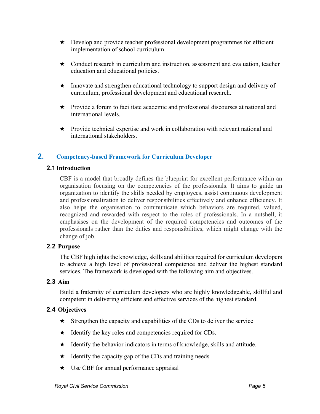- ★ Develop and provide teacher professional development programmes for efficient implementation of school curriculum.
- ★ Conduct research in curriculum and instruction, assessment and evaluation, teacher education and educational policies.
- ★ Innovate and strengthen educational technology to support design and delivery of curriculum, professional development and educational research.
- ★ Provide a forum to facilitate academic and professional discourses at national and international levels.
- ★ Provide technical expertise and work in collaboration with relevant national and international stakeholders.

# **2. Competency-based Framework for Curriculum Developer**

#### **2.1 Introduction**

CBF is a model that broadly defines the blueprint for excellent performance within an organisation focusing on the competencies of the professionals. It aims to guide an organization to identify the skills needed by employees, assist continuous development and professionalization to deliver responsibilities effectively and enhance efficiency. It also helps the organisation to communicate which behaviors are required, valued, recognized and rewarded with respect to the roles of professionals. In a nutshell, it emphasises on the development of the required competencies and outcomes of the professionals rather than the duties and responsibilities, which might change with the change of job.

#### **2.2 Purpose**

The CBF highlights the knowledge, skills and abilities required for curriculum developers to achieve a high level of professional competence and deliver the highest standard services. The framework is developed with the following aim and objectives.

#### **2.3 Aim**

Build a fraternity of curriculum developers who are highly knowledgeable, skillful and competent in delivering efficient and effective services of the highest standard.

#### **2.4 Objectives**

- $\star$  Strengthen the capacity and capabilities of the CDs to deliver the service
- $\star$  Identify the key roles and competencies required for CDs.
- ★ Identify the behavior indicators in terms of knowledge, skills and attitude.
- $\star$  Identify the capacity gap of the CDs and training needs
- ★ Use CBF for annual performance appraisal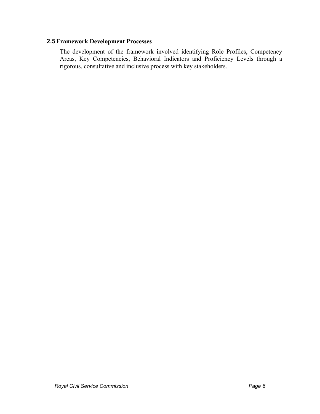#### **2.5Framework Development Processes**

The development of the framework involved identifying Role Profiles, Competency Areas, Key Competencies, Behavioral Indicators and Proficiency Levels through a rigorous, consultative and inclusive process with key stakeholders.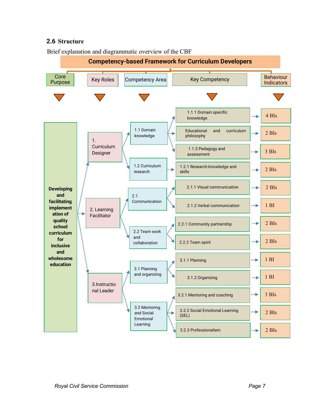# **2.6 Structure**



Brief explanation and diagrammatic overview of the CBF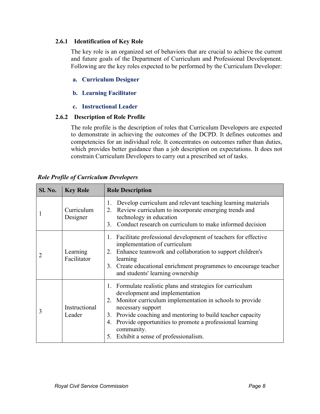#### **2.6.1 Identification of Key Role**

The key role is an organized set of behaviors that are crucial to achieve the current and future goals of the Department of Curriculum and Professional Development. Following are the key roles expected to be performed by the Curriculum Developer:

# **a. Curriculum Designer**

# **b. Learning Facilitator**

**c. Instructional Leader**

# **2.6.2 Description of Role Profile**

The role profile is the description of roles that Curriculum Developers are expected to demonstrate in achieving the outcomes of the DCPD. It defines outcomes and competencies for an individual role. It concentrates on outcomes rather than duties, which provides better guidance than a job description on expectations. It does not constrain Curriculum Developers to carry out a prescribed set of tasks.

| Sl. No. | <b>Key Role</b>         | <b>Role Description</b>                                                                                                                                                                                                                                                                                                                                                                       |  |
|---------|-------------------------|-----------------------------------------------------------------------------------------------------------------------------------------------------------------------------------------------------------------------------------------------------------------------------------------------------------------------------------------------------------------------------------------------|--|
|         | Curriculum<br>Designer  | Develop curriculum and relevant teaching learning materials<br>1.<br>Review curriculum to incorporate emerging trends and<br>2.<br>technology in education<br>Conduct research on curriculum to make informed decision<br>3.                                                                                                                                                                  |  |
|         | Learning<br>Facilitator | Facilitate professional development of teachers for effective<br>1.<br>implementation of curriculum<br>Enhance teamwork and collaboration to support children's<br>2.<br>learning<br>Create educational enrichment programmes to encourage teacher<br>3.<br>and students' learning ownership                                                                                                  |  |
| 3       | Instructional<br>Leader | Formulate realistic plans and strategies for curriculum<br>$\mathbf{I}$ .<br>development and implementation<br>Monitor curriculum implementation in schools to provide<br>2.<br>necessary support<br>Provide coaching and mentoring to build teacher capacity<br>3.<br>Provide opportunities to promote a professional learning<br>4.<br>community.<br>5. Exhibit a sense of professionalism. |  |

| <b>Role Profile of Curriculum Developers</b> |  |  |  |
|----------------------------------------------|--|--|--|
|                                              |  |  |  |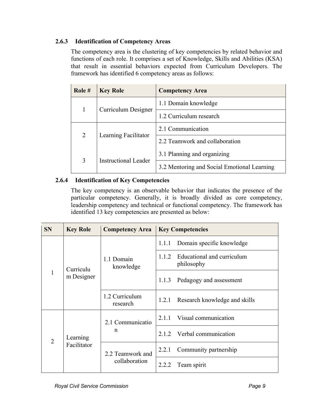# **2.6.3 Identification of Competency Areas**

The competency area is the clustering of key competencies by related behavior and functions of each role. It comprises a set of Knowledge, Skills and Abilities (KSA) that result in essential behaviors expected from Curriculum Developers. The framework has identified 6 competency areas as follows:

| Role $#$     | <b>Key Role</b>             | <b>Competency Area</b>                      |
|--------------|-----------------------------|---------------------------------------------|
| $\mathbf{1}$ | Curriculum Designer         | 1.1 Domain knowledge                        |
|              |                             | 1.2 Curriculum research                     |
|              | Learning Facilitator        | 2.1 Communication                           |
| 2            |                             | 2.2 Teamwork and collaboration              |
| 3            | <b>Instructional Leader</b> | 3.1 Planning and organizing                 |
|              |                             | 3.2 Mentoring and Social Emotional Learning |

# **2.6.4 Identification of Key Competencies**

The key competency is an observable behavior that indicates the presence of the particular competency. Generally, it is broadly divided as core competency, leadership competency and technical or functional competency. The framework has identified 13 key competencies are presented as below:

| <b>SN</b>      | <b>Key Role</b> | <b>Competency Area</b>            | <b>Key Competencies</b>                           |  |  |
|----------------|-----------------|-----------------------------------|---------------------------------------------------|--|--|
|                |                 |                                   | Domain specific knowledge<br>1.1.1                |  |  |
|                | Curriculu       | 1.1 Domain<br>knowledge           | Educational and curriculum<br>1.1.2<br>philosophy |  |  |
| $\mathbf{1}$   | m Designer      |                                   | 1.1.3<br>Pedagogy and assessment                  |  |  |
|                |                 | 1.2 Curriculum<br>research        | 1.2.1<br>Research knowledge and skills            |  |  |
|                |                 | 2.1 Communicatio<br>n             | Visual communication<br>2.1.1                     |  |  |
| $\overline{2}$ | Learning        |                                   | 2.1.2 Verbal communication                        |  |  |
|                | Facilitator     | 2.2 Teamwork and<br>collaboration | Community partnership<br>2.2.1                    |  |  |
|                |                 |                                   | 2.2.2<br>Team spirit                              |  |  |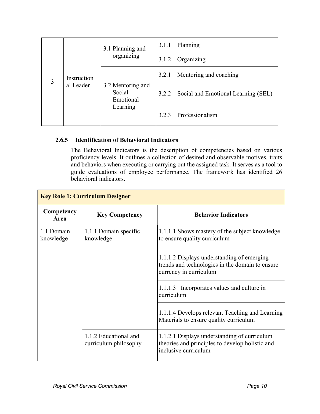|   | Instruction<br>al Leader | 3.1 Planning and<br>organizing                       | 3.1.1 | Planning                                  |
|---|--------------------------|------------------------------------------------------|-------|-------------------------------------------|
|   |                          |                                                      | 3.1.2 | Organizing                                |
| 3 |                          | 3.2 Mentoring and<br>Social<br>Emotional<br>Learning | 3.2.1 | Mentoring and coaching                    |
|   |                          |                                                      |       | 3.2.2 Social and Emotional Learning (SEL) |
|   |                          |                                                      | 3.2.3 | Professionalism                           |

# **2.6.5 Identification of Behavioral Indicators**

The Behavioral Indicators is the description of competencies based on various proficiency levels. It outlines a collection of desired and observable motives, traits and behaviors when executing or carrying out the assigned task. It serves as a tool to guide evaluations of employee performance. The framework has identified 26 behavioral indicators.

| Competency<br>Area      | <b>Key Competency</b>                          | <b>Behavior Indicators</b>                                                                                              |
|-------------------------|------------------------------------------------|-------------------------------------------------------------------------------------------------------------------------|
| 1.1 Domain<br>knowledge | 1.1.1 Domain specific<br>knowledge             | 1.1.1.1 Shows mastery of the subject knowledge<br>to ensure quality curriculum                                          |
|                         |                                                | 1.1.1.2 Displays understanding of emerging<br>trends and technologies in the domain to ensure<br>currency in curriculum |
|                         |                                                | 1.1.1.3 Incorporates values and culture in<br>curriculum                                                                |
|                         |                                                | 1.1.1.4 Develops relevant Teaching and Learning<br>Materials to ensure quality curriculum                               |
|                         | 1.1.2 Educational and<br>curriculum philosophy | 1.1.2.1 Displays understanding of curriculum<br>theories and principles to develop holistic and<br>inclusive curriculum |

# **Key Role 1: Curriculum Designer**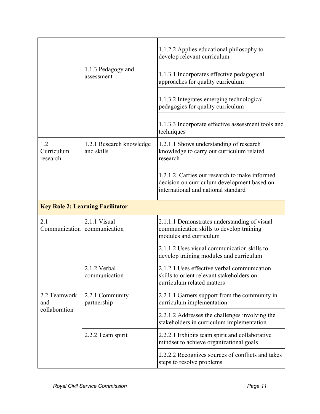|                               |                                             | 1.1.2.2 Applies educational philosophy to<br>develop relevant curriculum                                                             |
|-------------------------------|---------------------------------------------|--------------------------------------------------------------------------------------------------------------------------------------|
|                               | 1.1.3 Pedagogy and<br>assessment            | 1.1.3.1 Incorporates effective pedagogical<br>approaches for quality curriculum                                                      |
|                               |                                             | 1.1.3.2 Integrates emerging technological<br>pedagogies for quality curriculum                                                       |
|                               |                                             | 1.1.3.3 Incorporate effective assessment tools and<br>techniques                                                                     |
| 1.2<br>Curriculum<br>research | 1.2.1 Research knowledge<br>and skills      | 1.2.1.1 Shows understanding of research<br>knowledge to carry out curriculum related<br>research                                     |
|                               |                                             | 1.2.1.2. Carries out research to make informed<br>decision on curriculum development based on<br>international and national standard |
|                               | <b>Key Role 2: Learning Facilitator</b>     |                                                                                                                                      |
| 2.1                           | 2.1.1 Visual<br>Communication communication | 2.1.1.1 Demonstrates understanding of visual<br>communication skills to develop training<br>modules and curriculum                   |
|                               |                                             | 2.1.1.2 Uses visual communication skills to<br>develop training modules and curriculum                                               |
|                               | 2.1.2 Verbal<br>communication               | 2.1.2.1 Uses effective verbal communication<br>skills to orient relevant stakeholders on<br>curriculum related matters               |
| 2.2 Teamwork<br>and           | 2.2.1 Community<br>partnership              | 2.2.1.1 Garners support from the community in<br>curriculum implementation                                                           |
| collaboration                 |                                             | 2.2.1.2 Addresses the challenges involving the<br>stakeholders in curriculum implementation                                          |
|                               | 2.2.2 Team spirit                           | 2.2.2.1 Exhibits team spirit and collaborative<br>mindset to achieve organizational goals                                            |
|                               |                                             | 2.2.2.2 Recognizes sources of conflicts and takes<br>steps to resolve problems                                                       |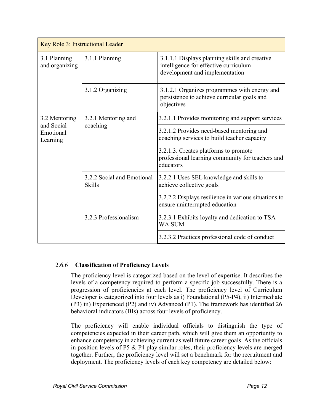| Key Role 3: Instructional Leader    |                                             |                                                                                                                          |  |  |
|-------------------------------------|---------------------------------------------|--------------------------------------------------------------------------------------------------------------------------|--|--|
| 3.1 Planning<br>and organizing      | 3.1.1 Planning                              | 3.1.1.1 Displays planning skills and creative<br>intelligence for effective curriculum<br>development and implementation |  |  |
|                                     | 3.1.2 Organizing                            | 3.1.2.1 Organizes programmes with energy and<br>persistence to achieve curricular goals and<br>objectives                |  |  |
| 3.2 Mentoring                       | 3.2.1 Mentoring and<br>coaching             | 3.2.1.1 Provides monitoring and support services                                                                         |  |  |
| and Social<br>Emotional<br>Learning |                                             | 3.2.1.2 Provides need-based mentoring and<br>coaching services to build teacher capacity                                 |  |  |
|                                     |                                             | 3.2.1.3. Creates platforms to promote<br>professional learning community for teachers and<br>educators                   |  |  |
|                                     | 3.2.2 Social and Emotional<br><b>Skills</b> | 3.2.2.1 Uses SEL knowledge and skills to<br>achieve collective goals                                                     |  |  |
|                                     |                                             | 3.2.2.2 Displays resilience in various situations to<br>ensure uninterrupted education                                   |  |  |
|                                     | 3.2.3 Professionalism                       | 3.2.3.1 Exhibits loyalty and dedication to TSA<br><b>WA SUM</b>                                                          |  |  |
|                                     |                                             | 3.2.3.2 Practices professional code of conduct                                                                           |  |  |

#### 2.6.6 **Classification of Proficiency Levels**

The proficiency level is categorized based on the level of expertise. It describes the levels of a competency required to perform a specific job successfully. There is a progression of proficiencies at each level. The proficiency level of Curriculum Developer is categorized into four levels as i) Foundational (P5-P4), ii) Intermediate (P3) iii) Experienced (P2) and iv) Advanced (P1). The framework has identified 26 behavioral indicators (BIs) across four levels of proficiency.

The proficiency will enable individual officials to distinguish the type of competencies expected in their career path, which will give them an opportunity to enhance competency in achieving current as well future career goals. As the officials in position levels of P5 & P4 play similar roles, their proficiency levels are merged together. Further, the proficiency level will set a benchmark for the recruitment and deployment. The proficiency levels of each key competency are detailed below: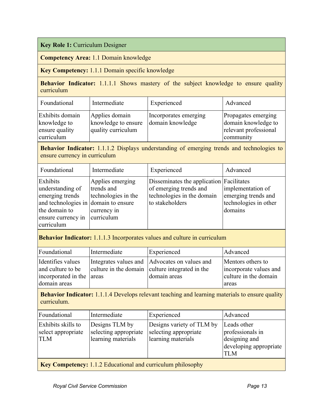**Key Role 1:** Curriculum Designer

**Competency Area:** 1.1 Domain knowledge

**Key Competency:** 1.1.1 Domain specific knowledge

**Behavior Indicator:** 1.1.1.1 Shows mastery of the subject knowledge to ensure quality curriculum

| Foundational                                                    | Intermediate                                                | Experienced                               | Advanced                                                                         |
|-----------------------------------------------------------------|-------------------------------------------------------------|-------------------------------------------|----------------------------------------------------------------------------------|
| Exhibits domain<br>knowledge to<br>ensure quality<br>curriculum | Applies domain<br>knowledge to ensure<br>quality curriculum | Incorporates emerging<br>domain knowledge | Propagates emerging<br>domain knowledge to<br>relevant professional<br>community |

**Behavior Indicator:** 1.1.1.2 Displays understanding of emerging trends and technologies to ensure currency in curriculum

| Foundational                                                                                                                                 | Intermediate                                                                       | Experienced                                                                                                         | Advanced                                                                     |
|----------------------------------------------------------------------------------------------------------------------------------------------|------------------------------------------------------------------------------------|---------------------------------------------------------------------------------------------------------------------|------------------------------------------------------------------------------|
| Exhibits<br>understanding of<br>emerging trends<br>and technologies in domain to ensure<br>the domain to<br>ensure currency in<br>curriculum | Applies emerging<br>trends and<br>technologies in the<br>currency in<br>curriculum | Disseminates the application Facilitates<br>of emerging trends and<br>technologies in the domain<br>to stakeholders | implementation of<br>emerging trends and<br>technologies in other<br>domains |

**Behavior Indicator:** 1.1.1.3 Incorporates values and culture in curriculum

| Foundational              | Intermediate | Experienced                                     | Advanced               |
|---------------------------|--------------|-------------------------------------------------|------------------------|
| Identifies values         |              | Integrates values and Advocates on values and   | Mentors others to      |
| and culture to be         |              | culture in the domain culture integrated in the | incorporate values and |
| incorporated in the areas |              | domain areas                                    | culture in the domain  |
| domain areas              |              |                                                 | areas                  |

**Behavior Indicator:** 1.1.1.4 Develops relevant teaching and learning materials to ensure quality curriculum.

| Foundational                                                       | Intermediate                                                  | Experienced                                                              | Advanced                                                                                 |
|--------------------------------------------------------------------|---------------------------------------------------------------|--------------------------------------------------------------------------|------------------------------------------------------------------------------------------|
| Exhibits skills to<br>select appropriate<br><b>TLM</b>             | Designs TLM by<br>selecting appropriate<br>learning materials | Designs variety of TLM by<br>selecting appropriate<br>learning materials | Leads other<br>professionals in<br>designing and<br>developing appropriate<br><b>TLM</b> |
| <b>Key Competency:</b> 1.1.2 Educational and curriculum philosophy |                                                               |                                                                          |                                                                                          |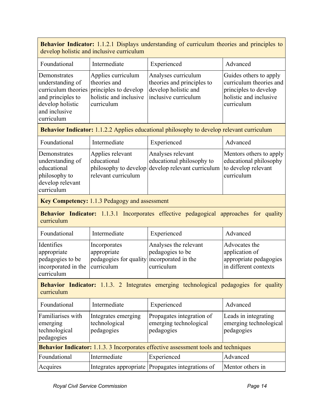**Behavior Indicator:** 1.1.2.1 Displays understanding of curriculum theories and principles to develop holistic and inclusive curriculum

| Foundational                                                                                             | Intermediate                                                                                                                                 | Experienced                                                               | Advanced                                                                                                           |
|----------------------------------------------------------------------------------------------------------|----------------------------------------------------------------------------------------------------------------------------------------------|---------------------------------------------------------------------------|--------------------------------------------------------------------------------------------------------------------|
| Demonstrates<br>understanding of<br>and principles to<br>develop holistic<br>and inclusive<br>curriculum | Applies curriculum<br>theories and<br>curriculum theories principles to develop<br>holistic and inclusive inclusive curriculum<br>curriculum | Analyses curriculum<br>theories and principles to<br>develop holistic and | Guides others to apply<br>curriculum theories and<br>principles to develop<br>holistic and inclusive<br>curriculum |

**Behavior Indicator:** 1.1.2.2 Applies educational philosophy to develop relevant curriculum

| Foundational                                                                                       | Intermediate                                           | Experienced                                                                                         | Advanced                                                                               |
|----------------------------------------------------------------------------------------------------|--------------------------------------------------------|-----------------------------------------------------------------------------------------------------|----------------------------------------------------------------------------------------|
| Demonstrates<br>understanding of<br>educational<br>philosophy to<br>develop relevant<br>curriculum | Applies relevant<br>educational<br>relevant curriculum | Analyses relevant<br>educational philosophy to<br>philosophy to develop develop relevant curriculum | Mentors others to apply<br>educational philosophy<br>to develop relevant<br>curriculum |

**Key Competency:** 1.1.3 Pedagogy and assessment

**Behavior Indicator:** 1.1.3.1 Incorporates effective pedagogical approaches for quality curriculum

| Foundational                                                                                  | Intermediate                                                              | Experienced                                             | Advanced                                                                           |
|-----------------------------------------------------------------------------------------------|---------------------------------------------------------------------------|---------------------------------------------------------|------------------------------------------------------------------------------------|
| Identifies<br>appropriate<br>pedagogies to be<br>incorporated in the curriculum<br>curriculum | Incorporates<br>appropriate<br>pedagogies for quality incorporated in the | Analyses the relevant<br>pedagogies to be<br>curriculum | Advocates the<br>application of<br>appropriate pedagogies<br>in different contexts |

**Behavior Indicator:** 1.1.3. 2 Integrates emerging technological pedagogies for quality curriculum

| Foundational                                                                        | Intermediate                                       | Experienced                                                       | Advanced                                                     |  |
|-------------------------------------------------------------------------------------|----------------------------------------------------|-------------------------------------------------------------------|--------------------------------------------------------------|--|
| Familiarises with<br>emerging<br>technological<br>pedagogies                        | Integrates emerging<br>technological<br>pedagogies | Propagates integration of<br>emerging technological<br>pedagogies | Leads in integrating<br>emerging technological<br>pedagogies |  |
| Behavior Indicator: 1.1.3. 3 Incorporates effective assessment tools and techniques |                                                    |                                                                   |                                                              |  |
| Foundational                                                                        | Intermediate                                       | Experienced                                                       | Advanced                                                     |  |
| Acquires                                                                            |                                                    | Integrates appropriate Propagates integrations of                 | Mentor others in                                             |  |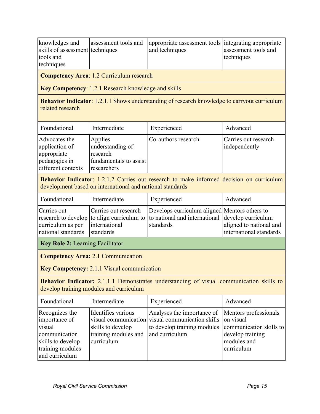| knowledges and<br>skills of assessment techniques<br>tools and<br>techniques | assessment tools and | appropriate assessment tools integrating appropriate<br>and techniques | assessment tools and<br>techniques |
|------------------------------------------------------------------------------|----------------------|------------------------------------------------------------------------|------------------------------------|
|                                                                              |                      |                                                                        |                                    |

**Competency Area**: 1.2 Curriculum research

**Key Competency**: 1.2.1 Research knowledge and skills

**Behavior Indicator**: 1.2.1.1 Shows understanding of research knowledge to carryout curriculum related research

| Foundational                                                                          | Intermediate                                                                     | Experienced         | Advanced                              |
|---------------------------------------------------------------------------------------|----------------------------------------------------------------------------------|---------------------|---------------------------------------|
| Advocates the<br>application of<br>appropriate<br>pedagogies in<br>different contexts | Applies<br>understanding of<br>research<br>fundamentals to assist<br>researchers | Co-authors research | Carries out research<br>independently |

**Behavior Indicator**: 1.2.1.2 Carries out research to make informed decision on curriculum development based on international and national standards

| Foundational                 | Intermediate  | Experienced                                                                                 | Advanced                |
|------------------------------|---------------|---------------------------------------------------------------------------------------------|-------------------------|
| Carries out                  |               | Carries out research Develops curriculum aligned Mentors others to                          |                         |
|                              |               | research to develop to align curriculum to to national and international develop curriculum |                         |
| curriculum as per            | international | standards                                                                                   | aligned to national and |
| national standards standards |               |                                                                                             | international standards |
| $\mathbf{r}$                 |               |                                                                                             |                         |

**Key Role 2:** Learning Facilitator

**Competency Area:** 2.1 Communication

**Key Competency:** 2.1.1 Visual communication

**Behavior Indicator:** 2.1.1.1 Demonstrates understanding of visual communication skills to develop training modules and curriculum

| Foundational                                                                                                          | Intermediate                                                                                 | Experienced                                                                                                                                                           | Advanced                                      |
|-----------------------------------------------------------------------------------------------------------------------|----------------------------------------------------------------------------------------------|-----------------------------------------------------------------------------------------------------------------------------------------------------------------------|-----------------------------------------------|
| Recognizes the<br>importance of<br>visual<br>communication<br>skills to develop<br>training modules<br>and curriculum | Identifies various<br>skills to develop<br>training modules and and curriculum<br>curriculum | Analyses the importance of Mentors professionals<br>visual communication visual communication skills on visual<br>to develop training modules communication skills to | develop training<br>modules and<br>curriculum |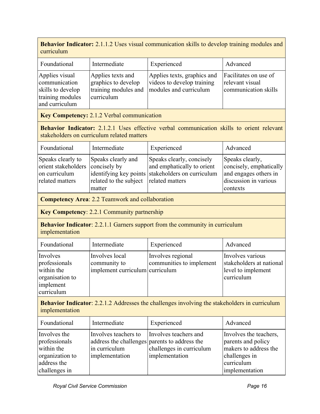**Behavior Indicator:** 2.1.1.2 Uses visual communication skills to develop training modules and curriculum

| Foundational                                                                               | Intermediate                                                                   | Experienced                                                                         | Advanced                                                         |
|--------------------------------------------------------------------------------------------|--------------------------------------------------------------------------------|-------------------------------------------------------------------------------------|------------------------------------------------------------------|
| Applies visual<br>communication<br>skills to develop<br>training modules<br>and curriculum | Applies texts and<br>graphics to develop<br>training modules and<br>curriculum | Applies texts, graphics and<br>videos to develop training<br>modules and curriculum | Facilitates on use of<br>relevant visual<br>communication skills |

**Key Competency:** 2.1.2 Verbal communication

**Behavior Indicator:** 2.1.2.1 Uses effective verbal communication skills to orient relevant stakeholders on curriculum related matters

| Foundational                     | Intermediate                           | Experienced                                       | Advanced                |
|----------------------------------|----------------------------------------|---------------------------------------------------|-------------------------|
| Speaks clearly to                | Speaks clearly and                     | Speaks clearly, concisely                         | Speaks clearly,         |
| orient stakeholders concisely by |                                        | and emphatically to orient                        | concisely, emphatically |
| on curriculum                    |                                        | identifying key points stakeholders on curriculum | and engages others in   |
| related matters                  | related to the subject related matters |                                                   | discussion in various   |
|                                  | matter                                 |                                                   | contexts                |

**Competency Area**: 2.2 Teamwork and collaboration

**Key Competency**: 2.2.1 Community partnership

**Behavior Indicator:** 2.2.1.1 Garners support from the community in curriculum implementation

| Foundational                                                                          | Intermediate                                                      | Experienced                                   | Advanced                                                                         |
|---------------------------------------------------------------------------------------|-------------------------------------------------------------------|-----------------------------------------------|----------------------------------------------------------------------------------|
| Involves<br>professionals<br>within the<br>organisation to<br>implement<br>curriculum | Involves local<br>community to<br>implement curriculum curriculum | Involves regional<br>communities to implement | Involves various<br>stakeholders at national<br>level to implement<br>curriculum |

**Behavior Indicator**: 2.2.1.2 Addresses the challenges involving the stakeholders in curriculum implementation

| Foundational                                                                                   | Intermediate                                                                                             | Experienced                                                         | Advanced                                                                                                               |
|------------------------------------------------------------------------------------------------|----------------------------------------------------------------------------------------------------------|---------------------------------------------------------------------|------------------------------------------------------------------------------------------------------------------------|
| Involves the<br>professionals<br>within the<br>organization to<br>address the<br>challenges in | Involves teachers to<br>address the challenges parents to address the<br>in curriculum<br>implementation | Involves teachers and<br>challenges in curriculum<br>implementation | Involves the teachers,<br>parents and policy<br>makers to address the<br>challenges in<br>curriculum<br>implementation |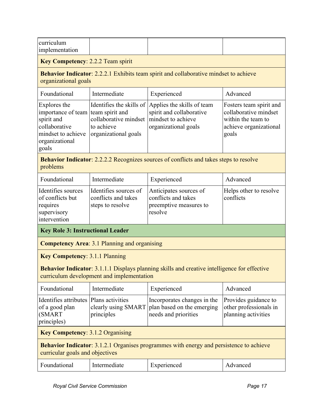| curriculum<br>implementation                                                                                                       |                                                                                         |                                                                                                      |                                                                                                           |  |  |
|------------------------------------------------------------------------------------------------------------------------------------|-----------------------------------------------------------------------------------------|------------------------------------------------------------------------------------------------------|-----------------------------------------------------------------------------------------------------------|--|--|
| <b>Key Competency: 2.2.2 Team spirit</b>                                                                                           |                                                                                         |                                                                                                      |                                                                                                           |  |  |
| organizational goals                                                                                                               |                                                                                         | Behavior Indicator: 2.2.2.1 Exhibits team spirit and collaborative mindset to achieve                |                                                                                                           |  |  |
| Foundational                                                                                                                       | Intermediate                                                                            | Experienced                                                                                          | Advanced                                                                                                  |  |  |
| Explores the<br>importance of team team spirit and<br>spirit and<br>collaborative<br>mindset to achieve<br>organizational<br>goals | Identifies the skills of<br>collaborative mindset<br>to achieve<br>organizational goals | Applies the skills of team<br>spirit and collaborative<br>mindset to achieve<br>organizational goals | Fosters team spirit and<br>collaborative mindset<br>within the team to<br>achieve organizational<br>goals |  |  |
| problems                                                                                                                           |                                                                                         | <b>Behavior Indicator:</b> 2.2.2.2 Recognizes sources of conflicts and takes steps to resolve        |                                                                                                           |  |  |
| Foundational                                                                                                                       | Intermediate                                                                            | Experienced                                                                                          | Advanced                                                                                                  |  |  |
| Identifies sources<br>of conflicts but<br>requires<br>supervisory<br>intervention                                                  | Identifies sources of<br>conflicts and takes<br>steps to resolve                        | Anticipates sources of<br>conflicts and takes<br>preemptive measures to<br>resolve                   | Helps other to resolve<br>conflicts                                                                       |  |  |
| <b>Key Role 3: Instructional Leader</b>                                                                                            |                                                                                         |                                                                                                      |                                                                                                           |  |  |
|                                                                                                                                    | <b>Competency Area: 3.1 Planning and organising</b>                                     |                                                                                                      |                                                                                                           |  |  |
| <b>Key Competency: 3.1.1 Planning</b>                                                                                              |                                                                                         |                                                                                                      |                                                                                                           |  |  |
|                                                                                                                                    | curriculum development and implementation                                               | Behavior Indicator: 3.1.1.1 Displays planning skills and creative intelligence for effective         |                                                                                                           |  |  |
| Foundational                                                                                                                       | Intermediate                                                                            | Experienced                                                                                          | Advanced                                                                                                  |  |  |
| Identifies attributes<br>of a good plan<br>(SMART<br>principles)                                                                   | Plans activities<br>clearly using SMART<br>principles                                   | Incorporates changes in the<br>plan based on the emerging<br>needs and priorities                    | Provides guidance to<br>other professionals in<br>planning activities                                     |  |  |
|                                                                                                                                    | <b>Key Competency: 3.1.2 Organising</b>                                                 |                                                                                                      |                                                                                                           |  |  |
| curricular goals and objectives                                                                                                    |                                                                                         | <b>Behavior Indicator:</b> 3.1.2.1 Organises programmes with energy and persistence to achieve       |                                                                                                           |  |  |
| Foundational                                                                                                                       | Intermediate                                                                            | Experienced                                                                                          | Advanced                                                                                                  |  |  |
|                                                                                                                                    |                                                                                         |                                                                                                      |                                                                                                           |  |  |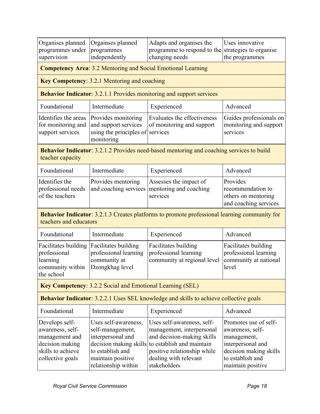| Organises planned                                                                                                | Orgainses planned                                                                                                             | Adapts and organises the                                                                                                                                                                                          | Uses innovative                                                                                                                                  |  |  |  |
|------------------------------------------------------------------------------------------------------------------|-------------------------------------------------------------------------------------------------------------------------------|-------------------------------------------------------------------------------------------------------------------------------------------------------------------------------------------------------------------|--------------------------------------------------------------------------------------------------------------------------------------------------|--|--|--|
| programmes under                                                                                                 |                                                                                                                               |                                                                                                                                                                                                                   |                                                                                                                                                  |  |  |  |
| supervision                                                                                                      | programmes<br>independently                                                                                                   | programme to respond to the strategies to organise<br>changing needs                                                                                                                                              | the programmes                                                                                                                                   |  |  |  |
|                                                                                                                  |                                                                                                                               |                                                                                                                                                                                                                   |                                                                                                                                                  |  |  |  |
|                                                                                                                  | <b>Competency Area: 3.2 Mentoring and Social Emotional Learning</b>                                                           |                                                                                                                                                                                                                   |                                                                                                                                                  |  |  |  |
|                                                                                                                  | <b>Key Competency: 3.2.1 Mentoring and coaching</b>                                                                           |                                                                                                                                                                                                                   |                                                                                                                                                  |  |  |  |
|                                                                                                                  |                                                                                                                               | <b>Behavior Indicator: 3.2.1.1 Provides monitoring and support services</b>                                                                                                                                       |                                                                                                                                                  |  |  |  |
| Foundational                                                                                                     | Intermediate                                                                                                                  | Experienced                                                                                                                                                                                                       | Advanced                                                                                                                                         |  |  |  |
| Identifies the areas<br>for monitoring and<br>support services                                                   | Provides monitoring<br>and support services<br>using the principles of<br>monitoring                                          | Evaluates the effectiveness<br>Guides professionals on<br>of monitoring and support<br>monitoring and support<br>services<br>services                                                                             |                                                                                                                                                  |  |  |  |
| teacher capacity                                                                                                 |                                                                                                                               | <b>Behavior Indicator:</b> 3.2.1.2 Provides need-based mentoring and coaching services to build                                                                                                                   |                                                                                                                                                  |  |  |  |
| Foundational                                                                                                     | Intermediate                                                                                                                  | Experienced                                                                                                                                                                                                       | Advanced                                                                                                                                         |  |  |  |
| Identifies the<br>professional needs<br>of the teachers                                                          | Provides mentoring<br>and coaching services                                                                                   | Assesses the impact of<br>mentoring and coaching<br>services                                                                                                                                                      | Provides<br>recommendation to<br>others on mentoring<br>and coaching services                                                                    |  |  |  |
| teachers and educators                                                                                           |                                                                                                                               | <b>Behavior Indicator:</b> 3.2.1.3 Creates platforms to promote professional learning community for                                                                                                               |                                                                                                                                                  |  |  |  |
| Foundational                                                                                                     | Intermediate                                                                                                                  | Experienced                                                                                                                                                                                                       | Advanced                                                                                                                                         |  |  |  |
| Facilitates building<br>professional<br>learning<br>community within<br>the school                               | Facilitates building<br>professional learning<br>community at<br>Dzongkhag level                                              | Facilitates building<br>professional learning<br>community at regional level                                                                                                                                      | Facilitates building<br>professional learning<br>community at national<br>level                                                                  |  |  |  |
|                                                                                                                  | <b>Key Competency: 3.2.2 Social and Emotional Learning (SEL)</b>                                                              |                                                                                                                                                                                                                   |                                                                                                                                                  |  |  |  |
|                                                                                                                  |                                                                                                                               | <b>Behavior Indicator:</b> 3.2.2.1 Uses SEL knowledge and skills to achieve collective goals                                                                                                                      |                                                                                                                                                  |  |  |  |
| Foundational                                                                                                     | Intermediate                                                                                                                  | Experienced                                                                                                                                                                                                       | Advanced                                                                                                                                         |  |  |  |
| Develops self-<br>awareness, self-<br>management and<br>decision making<br>skills to achieve<br>collective goals | Uses self-awareness,<br>self-management,<br>interpersonal and<br>to establish and<br>maintain positive<br>relationship within | Uses self-awareness, self-<br>management, interpersonal<br>and decision-making skills<br>decision making skills to establish and maintain<br>positive relationship while<br>dealing with relevant<br>stakeholders | Promotes use of self-<br>awareness, self-<br>management,<br>interpersonal and<br>decision making skills<br>to establish and<br>maintain positive |  |  |  |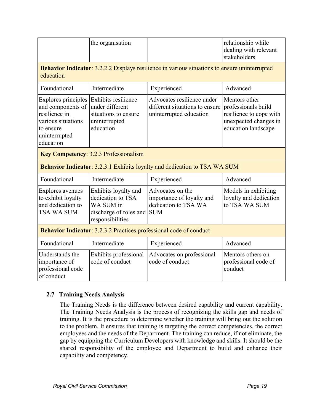|                                                                                                                                   | the organisation                                                                                     |                                                                                         | relationship while<br>dealing with relevant<br>stakeholders                                                     |  |  |
|-----------------------------------------------------------------------------------------------------------------------------------|------------------------------------------------------------------------------------------------------|-----------------------------------------------------------------------------------------|-----------------------------------------------------------------------------------------------------------------|--|--|
| <b>Behavior Indicator:</b> 3.2.2.2 Displays resilience in various situations to ensure uninterrupted<br>education                 |                                                                                                      |                                                                                         |                                                                                                                 |  |  |
| Foundational                                                                                                                      | Intermediate                                                                                         | Experienced                                                                             | Advanced                                                                                                        |  |  |
| <b>Explores principles</b><br>and components of<br>resilience in<br>various situations<br>to ensure<br>uninterrupted<br>education | Exhibits resilience<br>under different<br>situations to ensure<br>uninterrupted<br>education         | Advocates resilience under<br>different situations to ensure<br>uninterrupted education | Mentors other<br>professionals build<br>resilience to cope with<br>unexpected changes in<br>education landscape |  |  |
|                                                                                                                                   | <b>Key Competency: 3.2.3 Professionalism</b>                                                         |                                                                                         |                                                                                                                 |  |  |
|                                                                                                                                   |                                                                                                      | Behavior Indicator: 3.2.3.1 Exhibits loyalty and dedication to TSA WA SUM               |                                                                                                                 |  |  |
| Foundational                                                                                                                      | Intermediate                                                                                         | Experienced                                                                             | Advanced                                                                                                        |  |  |
| <b>Explores avenues</b><br>to exhibit loyalty<br>and dedication to<br>TSA WA SUM                                                  | Exhibits loyalty and<br>dedication to TSA<br>WA SUM in<br>discharge of roles and<br>responsibilities | Advocates on the<br>importance of loyalty and<br>dedication to TSA WA<br><b>SUM</b>     | Models in exhibiting<br>loyalty and dedication<br>to TSA WA SUM                                                 |  |  |
| <b>Behavior Indicator: 3.2.3.2 Practices professional code of conduct</b>                                                         |                                                                                                      |                                                                                         |                                                                                                                 |  |  |
| Foundational                                                                                                                      | Intermediate                                                                                         | Experienced                                                                             | Advanced                                                                                                        |  |  |
| Understands the<br>importance of<br>professional code<br>of conduct                                                               | Exhibits professional<br>code of conduct                                                             | Advocates on professional<br>code of conduct                                            | Mentors others on<br>professional code of<br>conduct                                                            |  |  |

# **2.7 Training Needs Analysis**

The Training Needs is the difference between desired capability and current capability. The Training Needs Analysis is the process of recognizing the skills gap and needs of training. It is the procedure to determine whether the training will bring out the solution to the problem. It ensures that training is targeting the correct competencies, the correct employees and the needs of the Department. The training can reduce, if not eliminate, the gap by equipping the Curriculum Developers with knowledge and skills. It should be the shared responsibility of the employee and Department to build and enhance their capability and competency.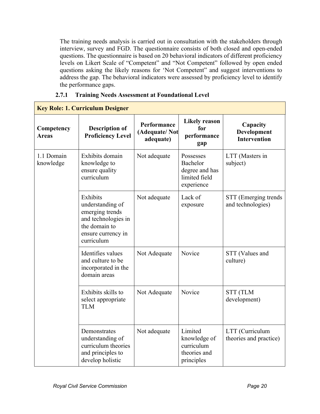The training needs analysis is carried out in consultation with the stakeholders through interview, survey and FGD. The questionnaire consists of both closed and open-ended questions. The questionnaire is based on 20 behavioral indicators of different proficiency levels on Likert Scale of "Competent" and "Not Competent" followed by open ended questions asking the likely reasons for 'Not Competent" and suggest interventions to address the gap. The behavioral indicators were assessed by proficiency level to identify the performance gaps.

| <b>Key Role: 1. Curriculum Designer</b> |                                                                                                                             |                                           |                                                                        |                                                       |
|-----------------------------------------|-----------------------------------------------------------------------------------------------------------------------------|-------------------------------------------|------------------------------------------------------------------------|-------------------------------------------------------|
| Competency<br><b>Areas</b>              | <b>Description of</b><br><b>Proficiency Level</b>                                                                           | Performance<br>(Adequate/Not<br>adequate) | <b>Likely reason</b><br>for<br>performance<br>gap                      | Capacity<br><b>Development</b><br><b>Intervention</b> |
| 1.1 Domain<br>knowledge                 | Exhibits domain<br>knowledge to<br>ensure quality<br>curriculum                                                             | Not adequate                              | Possesses<br>Bachelor<br>degree and has<br>limited field<br>experience | LTT (Masters in<br>subject)                           |
|                                         | Exhibits<br>understanding of<br>emerging trends<br>and technologies in<br>the domain to<br>ensure currency in<br>curriculum | Not adequate                              | Lack of<br>exposure                                                    | STT (Emerging trends<br>and technologies)             |
|                                         | Identifies values<br>and culture to be<br>incorporated in the<br>domain areas                                               | Not Adequate                              | Novice                                                                 | STT (Values and<br>culture)                           |
|                                         | Exhibits skills to<br>select appropriate<br><b>TLM</b>                                                                      | Not Adequate                              | Novice                                                                 | <b>STT (TLM</b><br>development)                       |
|                                         | Demonstrates<br>understanding of<br>curriculum theories<br>and principles to<br>develop holistic                            | Not adequate                              | Limited<br>knowledge of<br>curriculum<br>theories and<br>principles    | LTT (Curriculum<br>theories and practice)             |

#### **2.7.1 Training Needs Assessment at Foundational Level**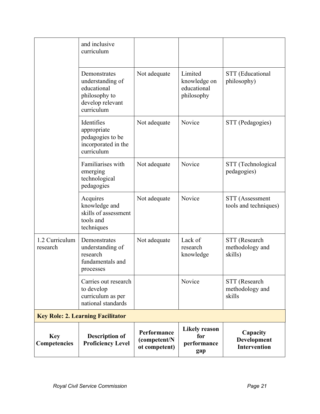|                                          | and inclusive<br>curriculum                                                                        |                                              |                                                      |                                                |
|------------------------------------------|----------------------------------------------------------------------------------------------------|----------------------------------------------|------------------------------------------------------|------------------------------------------------|
|                                          | Demonstrates<br>understanding of<br>educational<br>philosophy to<br>develop relevant<br>curriculum | Not adequate                                 | Limited<br>knowledge on<br>educational<br>philosophy | STT (Educational<br>philosophy)                |
|                                          | Identifies<br>appropriate<br>pedagogies to be<br>incorporated in the<br>curriculum                 | Not adequate                                 | Novice                                               | STT (Pedagogies)                               |
|                                          | Familiarises with<br>emerging<br>technological<br>pedagogies                                       | Not adequate                                 | Novice                                               | STT (Technological<br>pedagogies)              |
|                                          | Acquires<br>knowledge and<br>skills of assessment<br>tools and<br>techniques                       | Not adequate                                 | Novice                                               | STT (Assessment<br>tools and techniques)       |
| 1.2 Curriculum<br>research               | Demonstrates<br>understanding of<br>research<br>fundamentals and<br>processes                      | Not adequate                                 | Lack of<br>research<br>knowledge                     | STT (Research<br>methodology and<br>skills)    |
|                                          | Carries out research<br>to develop<br>curriculum as per<br>national standards                      |                                              | Novice                                               | STT (Research<br>methodology and<br>skills     |
| <b>Key Role: 2. Learning Facilitator</b> |                                                                                                    |                                              |                                                      |                                                |
| <b>Key</b><br>Competencies               | <b>Description of</b><br><b>Proficiency Level</b>                                                  | Performance<br>(competent/N<br>ot competent) | <b>Likely reason</b><br>for<br>performance<br>gap    | Capacity<br>Development<br><b>Intervention</b> |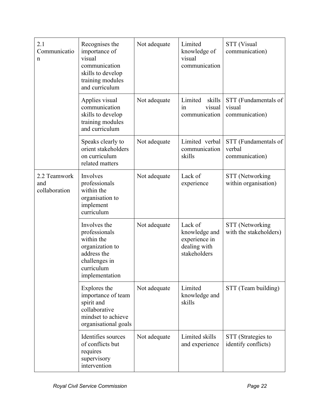| 2.1<br>Communicatio<br>n             | Recognises the<br>importance of<br>visual<br>communication<br>skills to develop<br>training modules<br>and curriculum          | Not adequate | Limited<br>knowledge of<br>visual<br>communication                        | <b>STT</b> (Visual<br>communication)             |
|--------------------------------------|--------------------------------------------------------------------------------------------------------------------------------|--------------|---------------------------------------------------------------------------|--------------------------------------------------|
|                                      | Applies visual<br>communication<br>skills to develop<br>training modules<br>and curriculum                                     | Not adequate | Limited<br>skills<br>visual<br>in<br>communication                        | STT (Fundamentals of<br>visual<br>communication) |
|                                      | Speaks clearly to<br>orient stakeholders<br>on curriculum<br>related matters                                                   | Not adequate | Limited verbal<br>communication<br>skills                                 | STT (Fundamentals of<br>verbal<br>communication) |
| 2.2 Teamwork<br>and<br>collaboration | Involves<br>professionals<br>within the<br>organisation to<br>implement<br>curriculum                                          | Not adequate | Lack of<br>experience                                                     | STT (Networking<br>within organisation)          |
|                                      | Involves the<br>professionals<br>within the<br>organization to<br>address the<br>challenges in<br>curriculum<br>implementation | Not adequate | Lack of<br>knowledge and<br>experience in<br>dealing with<br>stakeholders | STT (Networking<br>with the stakeholders)        |
|                                      | Explores the<br>importance of team<br>spirit and<br>collaborative<br>mindset to achieve<br>organisational goals                | Not adequate | Limited<br>knowledge and<br>skills                                        | STT (Team building)                              |
|                                      | Identifies sources<br>of conflicts but<br>requires<br>supervisory<br>intervention                                              | Not adequate | Limited skills<br>and experience                                          | STT (Strategies to<br>identify conflicts)        |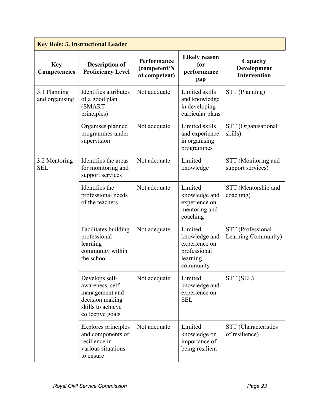| <b>Key Role: 3. Instructional Leader</b> |                                                                                                                  |                                              |                                                                                    |                                                |  |
|------------------------------------------|------------------------------------------------------------------------------------------------------------------|----------------------------------------------|------------------------------------------------------------------------------------|------------------------------------------------|--|
| <b>Key</b><br>Competencies               | <b>Description of</b><br><b>Proficiency Level</b>                                                                | Performance<br>(competent/N<br>ot competent) | <b>Likely reason</b><br>for<br>performance<br>gap                                  | Capacity<br>Development<br><b>Intervention</b> |  |
| 3.1 Planning<br>and organising           | Identifies attributes<br>of a good plan<br><b>(SMART</b><br>principles)                                          | Not adequate                                 | Limited skills<br>and knowledge<br>in developing<br>curricular plans               | STT (Planning)                                 |  |
|                                          | Organises planned<br>programmes under<br>supervision                                                             | Not adequate                                 | Limited skills<br>and experience<br>in organising<br>programmes                    | STT (Organisational<br>skills)                 |  |
| 3.2 Mentoring<br><b>SEL</b>              | Identifies the areas<br>for monitoring and<br>support services                                                   | Not adequate                                 | Limited<br>knowledge                                                               | STT (Monitoring and<br>support services)       |  |
|                                          | Identifies the<br>professional needs<br>of the teachers                                                          | Not adequate                                 | Limited<br>knowledge and<br>experience on<br>mentoring and<br>coaching             | STT (Mentorship and<br>coaching)               |  |
|                                          | Facilitates building<br>professional<br>learning<br>community within<br>the school                               | Not adequate                                 | Limited<br>knowledge and<br>experience on<br>professional<br>learning<br>community | STT (Professional<br>Learning Community)       |  |
|                                          | Develops self-<br>awareness, self-<br>management and<br>decision making<br>skills to achieve<br>collective goals | Not adequate                                 | Limited<br>knowledge and<br>experience on<br><b>SEL</b>                            | STT (SEL)                                      |  |
|                                          | Explores principles<br>and components of<br>resilience in<br>various situations<br>to ensure                     | Not adequate                                 | Limited<br>knowledge on<br>importance of<br>being resilient                        | STT (Characteristics<br>of resilience)         |  |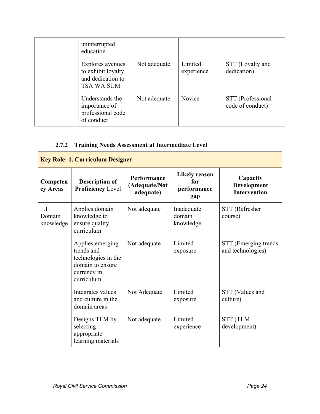| uninterrupted<br>education                                                |              |                       |                                       |
|---------------------------------------------------------------------------|--------------|-----------------------|---------------------------------------|
| Explores avenues<br>to exhibit loyalty<br>and dedication to<br>TSA WA SUM | Not adequate | Limited<br>experience | STT (Loyalty and<br>dedication)       |
| Understands the<br>importance of<br>professional code<br>of conduct       | Not adequate | Novice                | STT (Professional<br>code of conduct) |

# **2.7.2 Training Needs Assessment at Intermediate Level**

| <b>Key Role: 1. Curriculum Designer</b> |                                                                                                        |                                                  |                                                   |                                                |  |
|-----------------------------------------|--------------------------------------------------------------------------------------------------------|--------------------------------------------------|---------------------------------------------------|------------------------------------------------|--|
| Competen<br>cy Areas                    | <b>Description of</b><br><b>Proficiency Level</b>                                                      | <b>Performance</b><br>(Adequate/Not<br>adequate) | <b>Likely reason</b><br>for<br>performance<br>gap | Capacity<br>Development<br><b>Intervention</b> |  |
| 1.1<br>Domain<br>knowledge              | Applies domain<br>knowledge to<br>ensure quality<br>curriculum                                         | Not adequate                                     | Inadequate<br>domain<br>knowledge                 | STT (Refresher<br>course)                      |  |
|                                         | Applies emerging<br>trends and<br>technologies in the<br>domain to ensure<br>currency in<br>curriculum | Not adequate                                     | Limited<br>exposure                               | STT (Emerging trends<br>and technologies)      |  |
|                                         | Integrates values<br>and culture in the<br>domain areas                                                | Not Adequate                                     | Limited<br>exposure                               | STT (Values and<br>culture)                    |  |
|                                         | Designs TLM by<br>selecting<br>appropriate<br>learning materials                                       | Not adequate                                     | Limited<br>experience                             | <b>STT (TLM</b><br>development)                |  |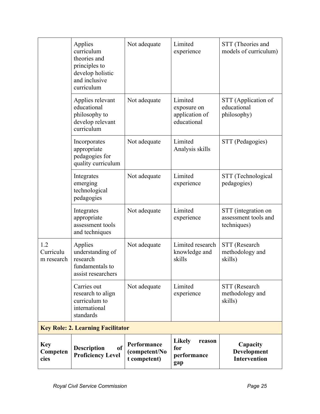|                                | Applies<br>curriculum<br>theories and<br>principles to<br>develop holistic<br>and inclusive<br>curriculum | Not adequate                                 | Limited<br>experience                                   | STT (Theories and<br>models of curriculum)                 |
|--------------------------------|-----------------------------------------------------------------------------------------------------------|----------------------------------------------|---------------------------------------------------------|------------------------------------------------------------|
|                                | Applies relevant<br>educational<br>philosophy to<br>develop relevant<br>curriculum                        | Not adequate                                 | Limited<br>exposure on<br>application of<br>educational | STT (Application of<br>educational<br>philosophy)          |
|                                | Incorporates<br>appropriate<br>pedagogies for<br>quality curriculum                                       | Not adequate                                 | Limited<br>Analysis skills                              | STT (Pedagogies)                                           |
|                                | Integrates<br>emerging<br>technological<br>pedagogies                                                     | Not adequate                                 | Limited<br>experience                                   | STT (Technological<br>pedagogies)                          |
|                                | Integrates<br>appropriate<br>assessment tools<br>and techniques                                           | Not adequate                                 | Limited<br>experience                                   | STT (integration on<br>assessment tools and<br>techniques) |
| 1.2<br>Curriculu<br>m research | Applies<br>understanding of<br>research<br>fundamentals to<br>assist researchers                          | Not adequate                                 | Limited research<br>knowledge and<br>skills             | STT (Research<br>methodology and<br>skills)                |
|                                | Carries out<br>research to align<br>curriculum to<br>international<br>standards                           | Not adequate                                 | Limited<br>experience                                   | STT (Research<br>methodology and<br>skills)                |
|                                | <b>Key Role: 2. Learning Facilitator</b>                                                                  |                                              |                                                         |                                                            |
| <b>Key</b><br>Competen<br>cies | of<br><b>Description</b><br><b>Proficiency Level</b>                                                      | Performance<br>(competent/No<br>t competent) | <b>Likely</b><br>reason<br>for<br>performance<br>gap    | Capacity<br>Development<br><b>Intervention</b>             |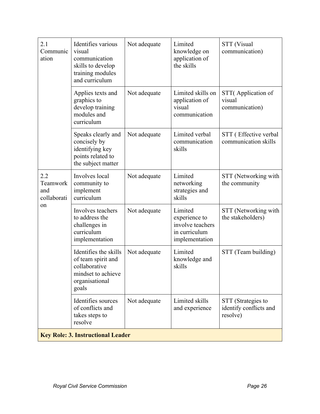| 2.1<br>Communic<br>ation                    | Identifies various<br>visual<br>communication<br>skills to develop<br>training modules<br>and curriculum      | Not adequate | Limited<br>knowledge on<br>application of<br>the skills                         | STT (Visual<br>communication)                            |
|---------------------------------------------|---------------------------------------------------------------------------------------------------------------|--------------|---------------------------------------------------------------------------------|----------------------------------------------------------|
|                                             | Applies texts and<br>graphics to<br>develop training<br>modules and<br>curriculum                             | Not adequate | Limited skills on<br>application of<br>visual<br>communication                  | STT(Application of<br>visual<br>communication)           |
|                                             | Speaks clearly and<br>concisely by<br>identifying key<br>points related to<br>the subject matter              | Not adequate | Limited verbal<br>communication<br>skills                                       | STT (Effective verbal<br>communication skills            |
| 2.2<br>Teamwork<br>and<br>collaborati<br>on | Involves local<br>community to<br>implement<br>curriculum                                                     | Not adequate | Limited<br>networking<br>strategies and<br>skills                               | STT (Networking with<br>the community                    |
|                                             | Involves teachers<br>to address the<br>challenges in<br>curriculum<br>implementation                          | Not adequate | Limited<br>experience to<br>involve teachers<br>in curriculum<br>implementation | STT (Networking with<br>the stakeholders)                |
|                                             | Identifies the skills<br>of team spirit and<br>collaborative<br>mindset to achieve<br>organisational<br>goals | Not adequate | Limited<br>knowledge and<br>skills                                              | STT (Team building)                                      |
|                                             | Identifies sources<br>of conflicts and<br>takes steps to<br>resolve                                           | Not adequate | Limited skills<br>and experience                                                | STT (Strategies to<br>identify conflicts and<br>resolve) |
|                                             | <b>Key Role: 3. Instructional Leader</b>                                                                      |              |                                                                                 |                                                          |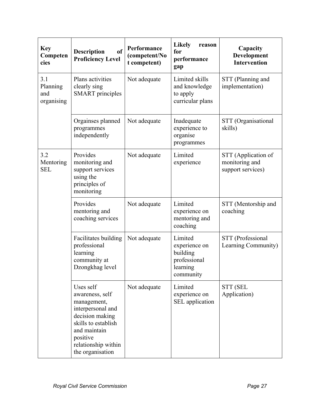| <b>Key</b><br>Competen<br>cies       | <sub>of</sub><br><b>Description</b><br><b>Proficiency Level</b>                                                                                                                   | Performance<br>(competent/No<br>t competent) | <b>Likely</b><br>reason<br>for<br>performance<br>gap                          | Capacity<br>Development<br><b>Intervention</b>             |
|--------------------------------------|-----------------------------------------------------------------------------------------------------------------------------------------------------------------------------------|----------------------------------------------|-------------------------------------------------------------------------------|------------------------------------------------------------|
| 3.1<br>Planning<br>and<br>organising | Plans activities<br>clearly sing<br><b>SMART</b> principles                                                                                                                       | Not adequate                                 | Limited skills<br>and knowledge<br>to apply<br>curricular plans               | STT (Planning and<br>implementation)                       |
|                                      | Orgainses planned<br>programmes<br>independently                                                                                                                                  | Not adequate                                 | Inadequate<br>experience to<br>organise<br>programmes                         | STT (Organisational<br>skills)                             |
| 3.2<br>Mentoring<br><b>SEL</b>       | Provides<br>monitoring and<br>support services<br>using the<br>principles of<br>monitoring                                                                                        | Not adequate                                 | Limited<br>experience                                                         | STT (Application of<br>monitoring and<br>support services) |
|                                      | Provides<br>mentoring and<br>coaching services                                                                                                                                    | Not adequate                                 | Limited<br>experience on<br>mentoring and<br>coaching                         | STT (Mentorship and<br>coaching                            |
|                                      | Facilitates building<br>professional<br>learning<br>community at<br>Dzongkhag level                                                                                               | Not adequate                                 | Limited<br>experience on<br>building<br>professional<br>learning<br>community | STT (Professional<br>Learning Community)                   |
|                                      | Uses self<br>awareness, self<br>management,<br>interpersonal and<br>decision making<br>skills to establish<br>and maintain<br>positive<br>relationship within<br>the organisation | Not adequate                                 | Limited<br>experience on<br>SEL application                                   | STT (SEL<br>Application)                                   |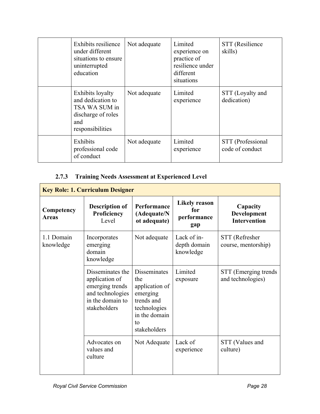| Exhibits resilience<br>under different<br>situations to ensure<br>uninterrupted<br>education            | Not adequate | Limited<br>experience on<br>practice of<br>resilience under<br>different<br>situations | STT (Resilience<br>skills)           |
|---------------------------------------------------------------------------------------------------------|--------------|----------------------------------------------------------------------------------------|--------------------------------------|
| Exhibits loyalty<br>and dedication to<br>TSA WA SUM in<br>discharge of roles<br>and<br>responsibilities | Not adequate | Limited<br>experience                                                                  | STT (Loyalty and<br>dedication)      |
| Exhibits<br>professional code<br>of conduct                                                             | Not adequate | Limited<br>experience                                                                  | STT (Professional<br>code of conduct |

# **2.7.3 Training Needs Assessment at Experienced Level**

| <b>Key Role: 1. Curriculum Designer</b> |                                                                                                               |                                                                                                                               |                                                   |                                                |  |
|-----------------------------------------|---------------------------------------------------------------------------------------------------------------|-------------------------------------------------------------------------------------------------------------------------------|---------------------------------------------------|------------------------------------------------|--|
| Competency<br><b>Areas</b>              | <b>Description of</b><br>Proficiency<br>Level                                                                 | <b>Performance</b><br>(Adequate/N<br>ot adequate)                                                                             | <b>Likely reason</b><br>for<br>performance<br>gap | Capacity<br>Development<br><b>Intervention</b> |  |
| 1.1 Domain<br>knowledge                 | Incorporates<br>emerging<br>domain<br>knowledge                                                               | Not adequate                                                                                                                  | Lack of in-<br>depth domain<br>knowledge          | STT (Refresher<br>course, mentorship)          |  |
|                                         | Disseminates the<br>application of<br>emerging trends<br>and technologies<br>in the domain to<br>stakeholders | <b>Disseminates</b><br>the<br>application of<br>emerging<br>trends and<br>technologies<br>in the domain<br>to<br>stakeholders | Limited<br>exposure                               | STT (Emerging trends<br>and technologies)      |  |
|                                         | Advocates on<br>values and<br>culture                                                                         | Not Adequate                                                                                                                  | Lack of<br>experience                             | STT (Values and<br>culture)                    |  |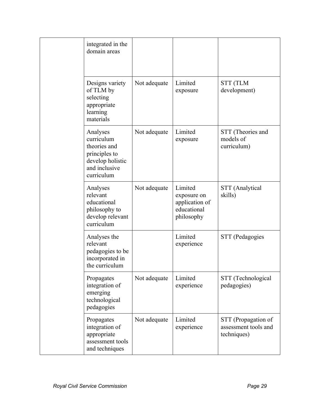|  | integrated in the<br>domain areas                                                                          |              |                                                                       |                                                            |
|--|------------------------------------------------------------------------------------------------------------|--------------|-----------------------------------------------------------------------|------------------------------------------------------------|
|  | Designs variety<br>of TLM by<br>selecting<br>appropriate<br>learning<br>materials                          | Not adequate | Limited<br>exposure                                                   | <b>STT (TLM</b><br>development)                            |
|  | Analyses<br>curriculum<br>theories and<br>principles to<br>develop holistic<br>and inclusive<br>curriculum | Not adequate | Limited<br>exposure                                                   | STT (Theories and<br>models of<br>curriculum)              |
|  | Analyses<br>relevant<br>educational<br>philosophy to<br>develop relevant<br>curriculum                     | Not adequate | Limited<br>exposure on<br>application of<br>educational<br>philosophy | STT (Analytical<br>skills)                                 |
|  | Analyses the<br>relevant<br>pedagogies to be<br>incorporated in<br>the curriculum                          |              | Limited<br>experience                                                 | STT (Pedagogies                                            |
|  | Propagates<br>integration of<br>emerging<br>technological<br>pedagogies                                    | Not adequate | Limited<br>experience                                                 | STT (Technological<br>pedagogies)                          |
|  | Propagates<br>integration of<br>appropriate<br>assessment tools<br>and techniques                          | Not adequate | Limited<br>experience                                                 | STT (Propagation of<br>assessment tools and<br>techniques) |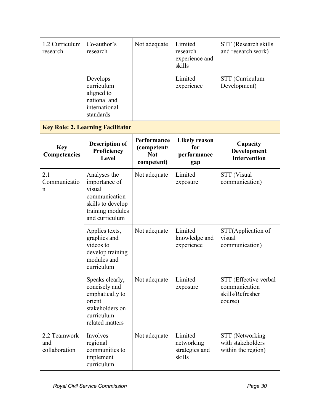| 1.2 Curriculum<br>research           | Co-author's<br>research                                                                                             | Not adequate                                           | Limited<br>research<br>experience and<br>skills   | STT (Research skills<br>and research work)                            |
|--------------------------------------|---------------------------------------------------------------------------------------------------------------------|--------------------------------------------------------|---------------------------------------------------|-----------------------------------------------------------------------|
|                                      | Develops<br>curriculum<br>aligned to<br>national and<br>international<br>standards                                  |                                                        | Limited<br>experience                             | STT (Curriculum<br>Development)                                       |
|                                      | <b>Key Role: 2. Learning Facilitator</b>                                                                            |                                                        |                                                   |                                                                       |
| <b>Key</b><br>Competencies           | <b>Description of</b><br>Proficiency<br>Level                                                                       | Performance<br>(competent/<br><b>Not</b><br>competent) | <b>Likely reason</b><br>for<br>performance<br>gap | Capacity<br>Development<br><b>Intervention</b>                        |
| 2.1<br>Communicatio<br>n             | Analyses the<br>importance of<br>visual<br>communication<br>skills to develop<br>training modules<br>and curriculum | Not adequate                                           | Limited<br>exposure                               | STT (Visual<br>communication)                                         |
|                                      | Applies texts,<br>graphics and<br>videos to<br>develop training<br>modules and<br>curriculum                        | Not adequate                                           | Limited<br>knowledge and<br>experience            | STT(Application of<br>visual<br>communication)                        |
|                                      | Speaks clearly,<br>concisely and<br>emphatically to<br>orient<br>stakeholders on<br>curriculum<br>related matters   | Not adequate                                           | Limited<br>exposure                               | STT (Effective verbal<br>communication<br>skills/Refresher<br>course) |
| 2.2 Teamwork<br>and<br>collaboration | Involves<br>regional<br>communities to<br>implement<br>curriculum                                                   | Not adequate                                           | Limited<br>networking<br>strategies and<br>skills | STT (Networking<br>with stakeholders<br>within the region)            |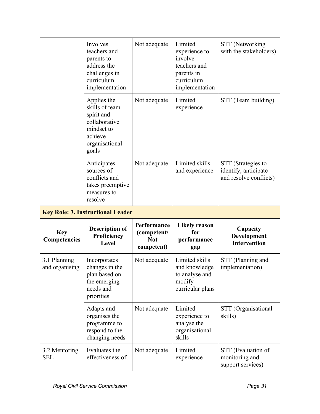|                                | Involves<br>teachers and<br>parents to<br>address the<br>challenges in<br>curriculum<br>implementation           | Not adequate                                           | Limited<br>experience to<br>involve<br>teachers and<br>parents in<br>curriculum<br>implementation | STT (Networking<br>with the stakeholders)                            |
|--------------------------------|------------------------------------------------------------------------------------------------------------------|--------------------------------------------------------|---------------------------------------------------------------------------------------------------|----------------------------------------------------------------------|
|                                | Applies the<br>skills of team<br>spirit and<br>collaborative<br>mindset to<br>achieve<br>organisational<br>goals | Not adequate                                           | Limited<br>experience                                                                             | STT (Team building)                                                  |
|                                | Anticipates<br>sources of<br>conflicts and<br>takes preemptive<br>measures to<br>resolve                         | Not adequate                                           | Limited skills<br>and experience                                                                  | STT (Strategies to<br>identify, anticipate<br>and resolve conflicts) |
|                                |                                                                                                                  |                                                        |                                                                                                   |                                                                      |
|                                | <b>Key Role: 3. Instructional Leader</b>                                                                         |                                                        |                                                                                                   |                                                                      |
| <b>Key</b><br>Competencies     | <b>Description of</b><br>Proficiency<br>Level                                                                    | Performance<br>(competent/<br><b>Not</b><br>competent) | <b>Likely reason</b><br>for<br>performance<br>gap                                                 | Capacity<br>Development<br><b>Intervention</b>                       |
| 3.1 Planning<br>and organising | Incorporates<br>changes in the<br>plan based on<br>the emerging<br>needs and<br>priorities                       | Not adequate                                           | Limited skills<br>and knowledge<br>to analyse and<br>modify<br>curricular plans                   | STT (Planning and<br>implementation)                                 |
|                                | Adapts and<br>organises the<br>programme to<br>respond to the<br>changing needs                                  | Not adequate                                           | Limited<br>experience to<br>analyse the<br>organisational<br>skills                               | STT (Organisational<br>skills)                                       |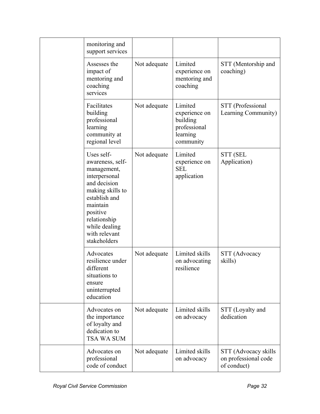| monitoring and<br>support services                                                                                                                                                                            |              |                                                                               |                                                             |
|---------------------------------------------------------------------------------------------------------------------------------------------------------------------------------------------------------------|--------------|-------------------------------------------------------------------------------|-------------------------------------------------------------|
| Assesses the<br>impact of<br>mentoring and<br>coaching<br>services                                                                                                                                            | Not adequate | Limited<br>experience on<br>mentoring and<br>coaching                         | STT (Mentorship and<br>coaching)                            |
| Facilitates<br>building<br>professional<br>learning<br>community at<br>regional level                                                                                                                         | Not adequate | Limited<br>experience on<br>building<br>professional<br>learning<br>community | STT (Professional<br>Learning Community)                    |
| Uses self-<br>awareness, self-<br>management,<br>interpersonal<br>and decision<br>making skills to<br>establish and<br>maintain<br>positive<br>relationship<br>while dealing<br>with relevant<br>stakeholders | Not adequate | Limited<br>experience on<br><b>SEL</b><br>application                         | <b>STT (SEL</b><br>Application)                             |
| Advocates<br>resilience under<br>different<br>situations to<br>ensure<br>uninterrupted<br>education                                                                                                           | Not adequate | Limited skills<br>on advocating<br>resilience                                 | STT (Advocacy<br>skills)                                    |
| Advocates on<br>the importance<br>of loyalty and<br>dedication to<br>TSA WA SUM                                                                                                                               | Not adequate | Limited skills<br>on advocacy                                                 | STT (Loyalty and<br>dedication                              |
| Advocates on<br>professional<br>code of conduct                                                                                                                                                               | Not adequate | Limited skills<br>on advocacy                                                 | STT (Advocacy skills<br>on professional code<br>of conduct) |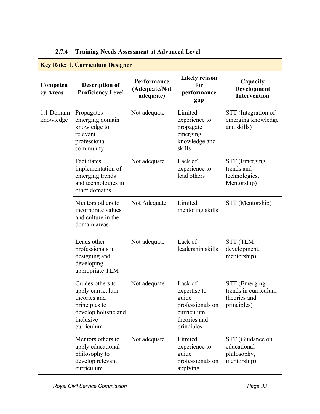# **2.7.4 Training Needs Assessment at Advanced Level**

| <b>Key Role: 1. Curriculum Designer</b> |                                                                                                                          |                                           |                                                                                                  |                                                                      |  |
|-----------------------------------------|--------------------------------------------------------------------------------------------------------------------------|-------------------------------------------|--------------------------------------------------------------------------------------------------|----------------------------------------------------------------------|--|
| Competen<br>cy Areas                    | <b>Description of</b><br><b>Proficiency Level</b>                                                                        | Performance<br>(Adequate/Not<br>adequate) | <b>Likely reason</b><br>for<br>performance<br>gap                                                | Capacity<br>Development<br><b>Intervention</b>                       |  |
| 1.1 Domain<br>knowledge                 | Propagates<br>emerging domain<br>knowledge to<br>relevant<br>professional<br>community                                   | Not adequate                              | Limited<br>experience to<br>propagate<br>emerging<br>knowledge and<br>skills                     | STT (Integration of<br>emerging knowledge<br>and skills)             |  |
|                                         | Facilitates<br>implementation of<br>emerging trends<br>and technologies in<br>other domains                              | Not adequate                              | Lack of<br>experience to<br>lead others                                                          | STT (Emerging<br>trends and<br>technologies,<br>Mentorship)          |  |
|                                         | Mentors others to<br>incorporate values<br>and culture in the<br>domain areas                                            | Not Adequate                              | Limited<br>mentoring skills                                                                      | STT (Mentorship)                                                     |  |
|                                         | Leads other<br>professionals in<br>designing and<br>developing<br>appropriate TLM                                        | Not adequate                              | Lack of<br>leadership skills                                                                     | <b>STT (TLM</b><br>development,<br>mentorship)                       |  |
|                                         | Guides others to<br>apply curriculum<br>theories and<br>principles to<br>develop holistic and<br>inclusive<br>curriculum | Not adequate                              | Lack of<br>expertise to<br>guide<br>professionals on<br>curriculum<br>theories and<br>principles | STT (Emerging<br>trends in curriculum<br>theories and<br>principles) |  |
|                                         | Mentors others to<br>apply educational<br>philosophy to<br>develop relevant<br>curriculum                                | Not adequate                              | Limited<br>experience to<br>guide<br>professionals on<br>applying                                | STT (Guidance on<br>educational<br>philosophy,<br>mentorship)        |  |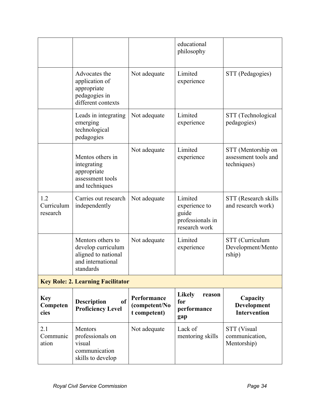|                                |                                                                                                  |                                              | educational<br>philosophy                                              |                                                           |
|--------------------------------|--------------------------------------------------------------------------------------------------|----------------------------------------------|------------------------------------------------------------------------|-----------------------------------------------------------|
|                                | Advocates the<br>application of<br>appropriate<br>pedagogies in<br>different contexts            | Not adequate                                 | Limited<br>experience                                                  | STT (Pedagogies)                                          |
|                                | Leads in integrating<br>emerging<br>technological<br>pedagogies                                  | Not adequate                                 | Limited<br>experience                                                  | STT (Technological<br>pedagogies)                         |
|                                | Mentos others in<br>integrating<br>appropriate<br>assessment tools<br>and techniques             | Not adequate                                 | Limited<br>experience                                                  | STT (Mentorship on<br>assessment tools and<br>techniques) |
| 1.2<br>Curriculum<br>research  | Carries out research<br>independently                                                            | Not adequate                                 | Limited<br>experience to<br>guide<br>professionals in<br>research work | STT (Research skills<br>and research work)                |
|                                | Mentors others to<br>develop curriculum<br>aligned to national<br>and international<br>standards | Not adequate                                 | Limited<br>experience                                                  | STT (Curriculum<br>Development/Mento<br>rship)            |
|                                | <b>Key Role: 2. Learning Facilitator</b>                                                         |                                              |                                                                        |                                                           |
| <b>Key</b><br>Competen<br>cies | <sub>of</sub><br><b>Description</b><br><b>Proficiency Level</b>                                  | Performance<br>(competent/No<br>t competent) | <b>Likely</b><br>reason<br>for<br>performance<br>gap                   | Capacity<br>Development<br><b>Intervention</b>            |
| 2.1<br>Communic<br>ation       | Mentors<br>professionals on<br>visual<br>communication<br>skills to develop                      | Not adequate                                 | Lack of<br>mentoring skills                                            | STT (Visual<br>communication,<br>Mentorship)              |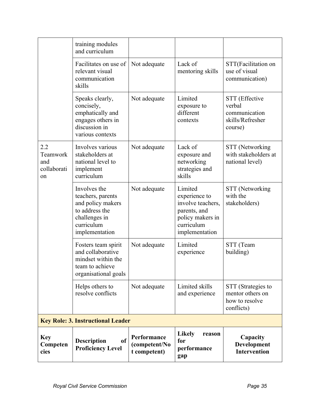| <b>Key</b><br>Competen<br>cies              | of<br><b>Description</b><br><b>Proficiency Level</b>                                                                      | Performance<br>(competent/No<br>t competent) | <b>Likely</b><br>reason<br>for<br>performance<br>gap                                                              | Capacity<br>Development<br><b>Intervention</b>                           |
|---------------------------------------------|---------------------------------------------------------------------------------------------------------------------------|----------------------------------------------|-------------------------------------------------------------------------------------------------------------------|--------------------------------------------------------------------------|
|                                             | <b>Key Role: 3. Instructional Leader</b>                                                                                  |                                              |                                                                                                                   |                                                                          |
|                                             | Helps others to<br>resolve conflicts                                                                                      | Not adequate                                 | Limited skills<br>and experience                                                                                  | STT (Strategies to<br>mentor others on<br>how to resolve<br>conflicts)   |
|                                             | Fosters team spirit<br>and collaborative<br>mindset within the<br>team to achieve<br>organisational goals                 | Not adequate                                 | Limited<br>experience                                                                                             | STT (Team<br>building)                                                   |
|                                             | Involves the<br>teachers, parents<br>and policy makers<br>to address the<br>challenges in<br>curriculum<br>implementation | Not adequate                                 | Limited<br>experience to<br>involve teachers,<br>parents, and<br>policy makers in<br>curriculum<br>implementation | STT (Networking<br>with the<br>stakeholders)                             |
| 2.2<br>Teamwork<br>and<br>collaborati<br>on | Involves various<br>stakeholders at<br>national level to<br>implement<br>curriculum                                       | Not adequate                                 | Lack of<br>exposure and<br>networking<br>strategies and<br>skills                                                 | STT (Networking<br>with stakeholders at<br>national level)               |
|                                             | Speaks clearly,<br>concisely,<br>emphatically and<br>engages others in<br>discussion in<br>various contexts               | Not adequate                                 | Limited<br>exposure to<br>different<br>contexts                                                                   | STT (Effective<br>verbal<br>communication<br>skills/Refresher<br>course) |
|                                             | Facilitates on use of<br>relevant visual<br>communication<br>skills                                                       | Not adequate                                 | Lack of<br>mentoring skills                                                                                       | STT(Facilitation on<br>use of visual<br>communication)                   |
|                                             | training modules<br>and curriculum                                                                                        |                                              |                                                                                                                   |                                                                          |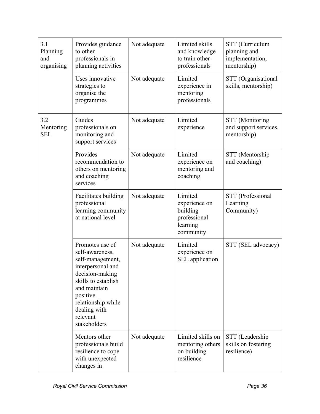| 3.1<br>Planning<br>and<br>organising | Provides guidance<br>to other<br>professionals in<br>planning activities                                                                                                                                            | Not adequate | Limited skills<br>and knowledge<br>to train other<br>professionals            | STT (Curriculum<br>planning and<br>implementation,<br>mentorship) |
|--------------------------------------|---------------------------------------------------------------------------------------------------------------------------------------------------------------------------------------------------------------------|--------------|-------------------------------------------------------------------------------|-------------------------------------------------------------------|
|                                      | Uses innovative<br>strategies to<br>organise the<br>programmes                                                                                                                                                      | Not adequate | Limited<br>experience in<br>mentoring<br>professionals                        | STT (Organisational<br>skills, mentorship)                        |
| 3.2<br>Mentoring<br><b>SEL</b>       | Guides<br>professionals on<br>monitoring and<br>support services                                                                                                                                                    | Not adequate | Limited<br>experience                                                         | <b>STT</b> (Monitoring<br>and support services,<br>mentorship)    |
|                                      | Provides<br>recommendation to<br>others on mentoring<br>and coaching<br>services                                                                                                                                    | Not adequate | Limited<br>experience on<br>mentoring and<br>coaching                         | STT (Mentorship<br>and coaching)                                  |
|                                      | Facilitates building<br>professional<br>learning community<br>at national level                                                                                                                                     | Not adequate | Limited<br>experience on<br>building<br>professional<br>learning<br>community | STT (Professional<br>Learning<br>Community)                       |
|                                      | Promotes use of<br>self-awareness,<br>self-management,<br>interpersonal and<br>decision-making<br>skills to establish<br>and maintain<br>positive<br>relationship while<br>dealing with<br>relevant<br>stakeholders | Not adequate | Limited<br>experience on<br>SEL application                                   | STT (SEL advocacy)                                                |
|                                      | Mentors other<br>professionals build<br>resilience to cope<br>with unexpected<br>changes in                                                                                                                         | Not adequate | Limited skills on<br>mentoring others<br>on building<br>resilience            | STT (Leadership<br>skills on fostering<br>resilience)             |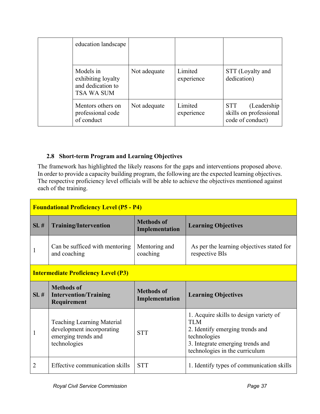| education landscape                                                |              |                       |                                                                   |
|--------------------------------------------------------------------|--------------|-----------------------|-------------------------------------------------------------------|
| Models in<br>exhibiting loyalty<br>and dedication to<br>TSA WA SUM | Not adequate | Limited<br>experience | STT (Loyalty and<br>dedication)                                   |
| Mentors others on<br>professional code<br>of conduct               | Not adequate | Limited<br>experience | (Leadership)<br>STT<br>skills on professional<br>code of conduct) |

# **2.8 Short-term Program and Learning Objectives**

The framework has highlighted the likely reasons for the gaps and interventions proposed above. In order to provide a capacity building program, the following are the expected learning objectives. The respective proficiency level officials will be able to achieve the objectives mentioned against each of the training.

| <b>Foundational Proficiency Level (P5 - P4)</b> |                                                                                                       |                                     |                                                                                                                                                                         |
|-------------------------------------------------|-------------------------------------------------------------------------------------------------------|-------------------------------------|-------------------------------------------------------------------------------------------------------------------------------------------------------------------------|
| $SI. \#$                                        | <b>Training/Intervention</b>                                                                          | <b>Methods of</b><br>Implementation | <b>Learning Objectives</b>                                                                                                                                              |
| 1                                               | Can be sufficed with mentoring<br>and coaching                                                        | Mentoring and<br>coaching           | As per the learning objectives stated for<br>respective BIs                                                                                                             |
|                                                 | <b>Intermediate Proficiency Level (P3)</b>                                                            |                                     |                                                                                                                                                                         |
| $SI. \#$                                        | <b>Methods of</b><br><b>Intervention/Training</b><br>Requirement                                      | <b>Methods of</b><br>Implementation | <b>Learning Objectives</b>                                                                                                                                              |
|                                                 | <b>Teaching Learning Material</b><br>development incorporating<br>emerging trends and<br>technologies | <b>STT</b>                          | 1. Acquire skills to design variety of<br>TI M<br>2. Identify emerging trends and<br>technologies<br>3. Integrate emerging trends and<br>technologies in the curriculum |
| 2                                               | Effective communication skills                                                                        | <b>STT</b>                          | 1. Identify types of communication skills                                                                                                                               |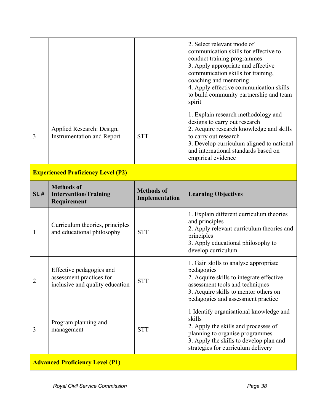|   |                                                                |            | 2. Select relevant mode of<br>communication skills for effective to<br>conduct training programmes<br>3. Apply appropriate and effective<br>communication skills for training,<br>coaching and mentoring<br>4. Apply effective communication skills<br>to build community partnership and team<br>spirit |
|---|----------------------------------------------------------------|------------|----------------------------------------------------------------------------------------------------------------------------------------------------------------------------------------------------------------------------------------------------------------------------------------------------------|
| 3 | Applied Research: Design,<br><b>Instrumentation and Report</b> | <b>STT</b> | 1. Explain research methodology and<br>designs to carry out research<br>2. Acquire research knowledge and skills<br>to carry out research<br>3. Develop curriculum aligned to national<br>and international standards based on<br>empirical evidence                                                     |

# **Experienced Proficiency Level (P2)**

| $SI. \#$ | <b>Methods of</b><br><b>Intervention/Training</b><br>Requirement                        | <b>Methods of</b><br>Implementation | <b>Learning Objectives</b>                                                                                                                                                                                        |
|----------|-----------------------------------------------------------------------------------------|-------------------------------------|-------------------------------------------------------------------------------------------------------------------------------------------------------------------------------------------------------------------|
| 1        | Curriculum theories, principles<br>and educational philosophy                           | <b>STT</b>                          | 1. Explain different curriculum theories<br>and principles<br>2. Apply relevant curriculum theories and<br>principles<br>3. Apply educational philosophy to<br>develop curriculum                                 |
| 2        | Effective pedagogies and<br>assessment practices for<br>inclusive and quality education | <b>STT</b>                          | 1. Gain skills to analyse appropriate<br>pedagogies<br>2. Acquire skills to integrate effective<br>assessment tools and techniques<br>3. Acquire skills to mentor others on<br>pedagogies and assessment practice |
| 3        | Program planning and<br>management                                                      | <b>STT</b>                          | 1 Identify organisational knowledge and<br>skills<br>2. Apply the skills and processes of<br>planning to organise programmes<br>3. Apply the skills to develop plan and<br>strategies for curriculum delivery     |
|          | <b>Advanced Proficiency Level (P1)</b>                                                  |                                     |                                                                                                                                                                                                                   |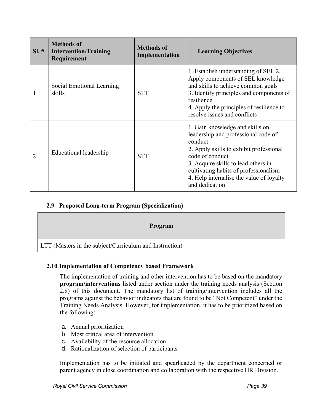| $SI. \#$ | <b>Methods of</b><br><b>Intervention/Training</b><br>Requirement | <b>Methods of</b><br><b>Implementation</b> | <b>Learning Objectives</b>                                                                                                                                                                                                                                                                    |
|----------|------------------------------------------------------------------|--------------------------------------------|-----------------------------------------------------------------------------------------------------------------------------------------------------------------------------------------------------------------------------------------------------------------------------------------------|
|          | Social Emotional Learning<br>skills                              | <b>STT</b>                                 | 1. Establish understanding of SEL 2.<br>Apply components of SEL knowledge<br>and skills to achieve common goals<br>3. Identify principles and components of<br>resilience<br>4. Apply the principles of resilience to<br>resolve issues and conflicts                                         |
| 2        | Educational leadership                                           | <b>STT</b>                                 | 1. Gain knowledge and skills on<br>leadership and professional code of<br>conduct<br>2. Apply skills to exhibit professional<br>code of conduct<br>3. Acquire skills to lead others in<br>cultivating habits of professionalism<br>4. Help internalise the value of loyalty<br>and dedication |

# **2.9 Proposed Long-term Program (Specialization)**

| Program                                                        |
|----------------------------------------------------------------|
| <b>LTT</b> (Masters in the subject/Curriculum and Instruction) |

#### **2.10 Implementation of Competency based Framework**

The implementation of training and other intervention has to be based on the mandatory **program/interventions** listed under section under the training needs analysis (Section 2.8) of this document. The mandatory list of training/intervention includes all the programs against the behavior indicators that are found to be "Not Competent" under the Training Needs Analysis. However, for implementation, it has to be prioritized based on the following:

- a. Annual prioritization
- b. Most critical area of intervention
- c. Availability of the resource allocation
- d. Rationalization of selection of participants

Implementation has to be initiated and spearheaded by the department concerned or parent agency in close coordination and collaboration with the respective HR Division.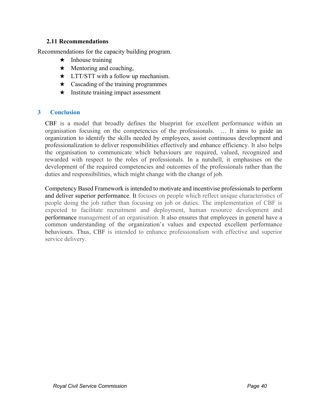#### **2.11 Recommendations**

Recommendations for the capacity building program.

- $\star$  Inhouse training
- $\star$  Mentoring and coaching,
- $\star$  LTT/STT with a follow up mechanism.
- $\star$  Cascading of the training programmes
- $\star$  Institute training impact assessment

#### **3 Conclusion**

CBF is a model that broadly defines the blueprint for excellent performance within an organisation focusing on the competencies of the professionals. … It aims to guide an organization to identify the skills needed by employees, assist continuous development and professionalization to deliver responsibilities effectively and enhance efficiency. It also helps the organisation to communicate which behaviours are required, valued, recognized and rewarded with respect to the roles of professionals. In a nutshell, it emphasises on the development of the required competencies and outcomes of the professionals rather than the duties and responsibilities, which might change with the change of job.

Competency Based Framework is intended to motivate and incentivise professionals to perform and deliver superior performance. It focuses on people which reflect unique characteristics of people doing the job rather than focusing on job or duties. The implementation of CBF is expected to facilitate recruitment and deployment, human resource development and performance management of an organisation. It also ensures that employees in general have a common understanding of the organization's values and expected excellent performance behaviours. Thus, CBF is intended to enhance professionalism with effective and superior service delivery.